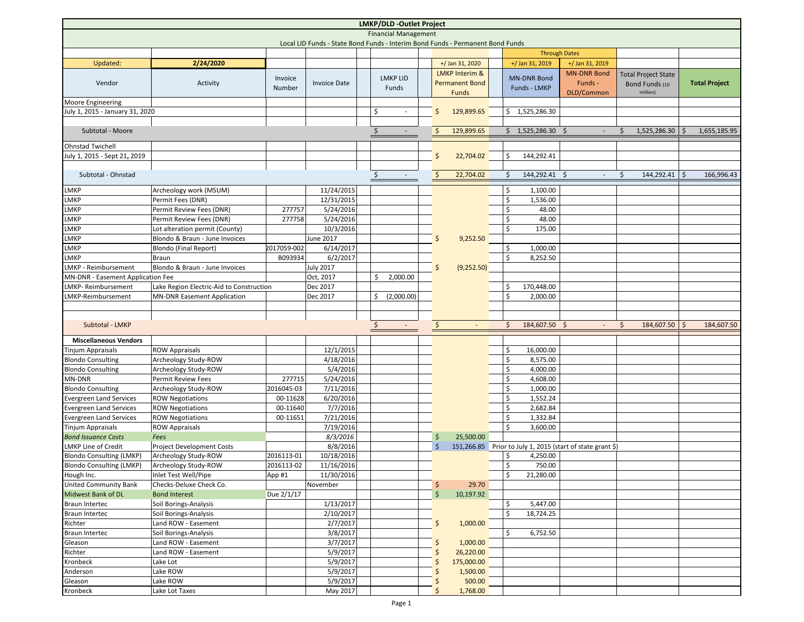| <b>LMKP/DLD -Outlet Project</b>                                                |                                              |             |                      |                                                |  |                                   |  |                                                            |                          |                            |                      |  |  |
|--------------------------------------------------------------------------------|----------------------------------------------|-------------|----------------------|------------------------------------------------|--|-----------------------------------|--|------------------------------------------------------------|--------------------------|----------------------------|----------------------|--|--|
| <b>Financial Management</b>                                                    |                                              |             |                      |                                                |  |                                   |  |                                                            |                          |                            |                      |  |  |
| Local LID Funds - State Bond Funds - Interim Bond Funds - Permanent Bond Funds |                                              |             |                      |                                                |  |                                   |  |                                                            |                          |                            |                      |  |  |
|                                                                                |                                              |             |                      |                                                |  |                                   |  |                                                            | <b>Through Dates</b>     |                            |                      |  |  |
| Updated:                                                                       | 2/24/2020                                    |             |                      |                                                |  | +/ Jan 31, 2020                   |  | +/ Jan 31, 2019                                            | +/ Jan 31, 2019          |                            |                      |  |  |
|                                                                                |                                              |             |                      |                                                |  | <b>LMKP Interim &amp;</b>         |  |                                                            | <b>MN-DNR Bond</b>       | <b>Total Project State</b> |                      |  |  |
| Vendor                                                                         | Activity                                     | Invoice     | <b>Invoice Date</b>  | <b>LMKP LID</b>                                |  | <b>Permanent Bond</b>             |  | <b>MN-DNR Bond</b>                                         | Funds -                  | Bond Funds (10             | <b>Total Project</b> |  |  |
|                                                                                |                                              | Number      |                      | Funds                                          |  | Funds                             |  | <b>Funds - LMKP</b>                                        | DLD/Common               | million)                   |                      |  |  |
| <b>Moore Engineering</b>                                                       |                                              |             |                      |                                                |  |                                   |  |                                                            |                          |                            |                      |  |  |
| July 1, 2015 - January 31, 2020                                                |                                              |             |                      | \$<br>$\sim$                                   |  | 129,899.65<br>$\frac{1}{2}$       |  | \$1,525,286.30                                             |                          |                            |                      |  |  |
|                                                                                |                                              |             |                      |                                                |  |                                   |  |                                                            |                          |                            |                      |  |  |
| Subtotal - Moore                                                               |                                              |             |                      | $\ddot{\phi}$<br>$\sim$                        |  | $\ddot{\mathsf{S}}$<br>129,899.65 |  | \$1,525,286.30\$                                           |                          | 1,525,286.30<br>Ŝ.         | 1,655,185.95         |  |  |
| <b>Ohnstad Twichell</b>                                                        |                                              |             |                      |                                                |  |                                   |  |                                                            |                          |                            |                      |  |  |
| July 1, 2015 - Sept 21, 2019                                                   |                                              |             |                      |                                                |  | $\frac{1}{2}$<br>22,704.02        |  | \$<br>144,292.41                                           |                          |                            |                      |  |  |
|                                                                                |                                              |             |                      |                                                |  |                                   |  |                                                            |                          |                            |                      |  |  |
| Subtotal - Ohnstad                                                             |                                              |             |                      | $\frac{1}{2}$<br>$\overline{\phantom{a}}$      |  | 22,704.02<br>$\frac{1}{2}$        |  | 144,292.41 \$<br>Ś.                                        | $\overline{\phantom{a}}$ | 144,292.41 \$<br>Ŝ.        | 166,996.43           |  |  |
|                                                                                |                                              |             |                      |                                                |  |                                   |  |                                                            |                          |                            |                      |  |  |
| <b>LMKP</b>                                                                    | Archeology work (MSUM)                       |             | 11/24/2015           |                                                |  |                                   |  | \$<br>1,100.00                                             |                          |                            |                      |  |  |
| <b>LMKP</b>                                                                    | Permit Fees (DNR)                            |             | 12/31/2015           |                                                |  |                                   |  | \$<br>1,536.00                                             |                          |                            |                      |  |  |
| <b>LMKP</b>                                                                    | Permit Review Fees (DNR)                     | 277757      | 5/24/2016            |                                                |  |                                   |  | Ś<br>48.00                                                 |                          |                            |                      |  |  |
| <b>LMKP</b>                                                                    | Permit Review Fees (DNR)                     | 277758      | 5/24/2016            |                                                |  |                                   |  | \$<br>48.00                                                |                          |                            |                      |  |  |
| LMKP                                                                           | Lot alteration permit (County)               |             | 10/3/2016            |                                                |  |                                   |  | \$<br>175.00                                               |                          |                            |                      |  |  |
| <b>LMKP</b>                                                                    | Blondo & Braun - June Invoices               |             | June 2017            |                                                |  | 9,252.50<br>\$                    |  |                                                            |                          |                            |                      |  |  |
| LMKP                                                                           | Blondo (Final Report)                        | 2017059-002 | 6/14/2017            |                                                |  |                                   |  | Ś<br>1,000.00                                              |                          |                            |                      |  |  |
| <b>LMKP</b>                                                                    | Braun                                        | B093934     | 6/2/2017             |                                                |  |                                   |  | 8,252.50<br>Ś                                              |                          |                            |                      |  |  |
| LMKP - Reimbursement                                                           | Blondo & Braun - June Invoices               |             | July 2017            |                                                |  | (9,252.50)<br>\$                  |  |                                                            |                          |                            |                      |  |  |
| MN-DNR - Easement Application Fee                                              |                                              |             | Oct, 2017            | \$<br>2,000.00                                 |  |                                   |  |                                                            |                          |                            |                      |  |  |
| <b>LMKP- Reimbursement</b>                                                     | Lake Region Electric-Aid to Construction     |             | Dec 2017             |                                                |  |                                   |  | Ś<br>170,448.00                                            |                          |                            |                      |  |  |
| LMKP-Reimbursement                                                             | <b>MN-DNR Easement Application</b>           |             | Dec 2017             | \$<br>(2,000.00)                               |  |                                   |  | Ś<br>2,000.00                                              |                          |                            |                      |  |  |
|                                                                                |                                              |             |                      |                                                |  |                                   |  |                                                            |                          |                            |                      |  |  |
| Subtotal - LMKP                                                                |                                              |             |                      | $\ddot{\varsigma}$<br>$\overline{\phantom{a}}$ |  | $\frac{1}{2}$<br>$\blacksquare$   |  | 184,607.50 \$<br>\$                                        | $\overline{\phantom{a}}$ | 184,607.50<br>\$           | S.<br>184,607.50     |  |  |
|                                                                                |                                              |             |                      |                                                |  |                                   |  |                                                            |                          |                            |                      |  |  |
| <b>Miscellaneous Vendors</b>                                                   |                                              |             |                      |                                                |  |                                   |  |                                                            |                          |                            |                      |  |  |
| <b>Tinjum Appraisals</b>                                                       | <b>ROW Appraisals</b>                        |             | 12/1/2015            |                                                |  |                                   |  | \$<br>16,000.00                                            |                          |                            |                      |  |  |
| <b>Blondo Consulting</b>                                                       | Archeology Study-ROW                         |             | 4/18/2016            |                                                |  |                                   |  | \$<br>8,575.00                                             |                          |                            |                      |  |  |
| <b>Blondo Consulting</b>                                                       | Archeology Study-ROW                         |             | 5/4/2016             |                                                |  |                                   |  | \$<br>4,000.00                                             |                          |                            |                      |  |  |
| MN-DNR                                                                         | <b>Permit Review Fees</b>                    | 277715      | 5/24/2016            |                                                |  |                                   |  | \$<br>4,608.00                                             |                          |                            |                      |  |  |
| <b>Blondo Consulting</b>                                                       | Archeology Study-ROW                         | 2016045-03  | 7/11/2016            |                                                |  |                                   |  | \$<br>1,000.00                                             |                          |                            |                      |  |  |
| <b>Evergreen Land Services</b>                                                 | <b>ROW Negotiations</b>                      | 00-11628    | 6/20/2016            |                                                |  |                                   |  | \$<br>1,552.24                                             |                          |                            |                      |  |  |
| <b>Evergreen Land Services</b>                                                 | <b>ROW Negotiations</b>                      | 00-11640    | 7/7/2016             |                                                |  |                                   |  | \$<br>2,682.84                                             |                          |                            |                      |  |  |
| <b>Evergreen Land Services</b>                                                 | <b>ROW Negotiations</b>                      | 00-11651    | 7/21/2016            |                                                |  |                                   |  | \$<br>1,332.84                                             |                          |                            |                      |  |  |
| <b>Tinjum Appraisals</b>                                                       | <b>ROW Appraisals</b>                        |             | 7/19/2016            |                                                |  |                                   |  | \$<br>3,600.00                                             |                          |                            |                      |  |  |
| <b>Bond Issuance Costs</b>                                                     | Fees                                         |             | 8/3/2016             |                                                |  | \$<br>25,500.00                   |  |                                                            |                          |                            |                      |  |  |
| <b>LMKP Line of Credit</b>                                                     | <b>Project Development Costs</b>             |             | 8/8/2016             |                                                |  | Ŝ.                                |  | 151,266.85 Prior to July 1, 2015 (start of state grant \$) |                          |                            |                      |  |  |
| <b>Blondo Consulting (LMKP)</b>                                                | Archeology Study-ROW                         | 2016113-01  | 10/18/2016           |                                                |  |                                   |  | \$<br>4,250.00                                             |                          |                            |                      |  |  |
| <b>Blondo Consulting (LMKP)</b>                                                | Archeology Study-ROW                         | 2016113-02  | 11/16/2016           |                                                |  |                                   |  | \$<br>750.00                                               |                          |                            |                      |  |  |
| Hough Inc.                                                                     | Inlet Test Well/Pipe                         | App #1      | 11/30/2016           |                                                |  |                                   |  | \$<br>21,280.00                                            |                          |                            |                      |  |  |
| <b>United Community Bank</b>                                                   | Checks-Deluxe Check Co.                      |             | November             |                                                |  | 29.70<br>\$                       |  |                                                            |                          |                            |                      |  |  |
| Midwest Bank of DL                                                             | <b>Bond Interest</b>                         | Due 2/1/17  |                      |                                                |  | $\zeta$<br>10,197.92              |  |                                                            |                          |                            |                      |  |  |
| <b>Braun Intertec</b>                                                          | Soil Borings-Analysis                        |             | 1/13/2017            |                                                |  |                                   |  | \$<br>5,447.00                                             |                          |                            |                      |  |  |
| <b>Braun Intertec</b>                                                          | Soil Borings-Analysis                        |             | 2/10/2017            |                                                |  |                                   |  | \$<br>18,724.25                                            |                          |                            |                      |  |  |
| Richter                                                                        | Land ROW - Easement                          |             | 2/7/2017             |                                                |  | \$<br>1,000.00                    |  |                                                            |                          |                            |                      |  |  |
| <b>Braun Intertec</b><br>Gleason                                               | Soil Borings-Analysis<br>Land ROW - Easement |             | 3/8/2017<br>3/7/2017 |                                                |  |                                   |  | \$<br>6,752.50                                             |                          |                            |                      |  |  |
|                                                                                | Land ROW - Easement                          |             | 5/9/2017             |                                                |  | 1,000.00<br>\$<br>26,220.00       |  |                                                            |                          |                            |                      |  |  |
| Richter<br>Kronbeck                                                            | Lake Lot                                     |             | 5/9/2017             |                                                |  | \$<br>175,000.00                  |  |                                                            |                          |                            |                      |  |  |
| Anderson                                                                       | Lake ROW                                     |             | 5/9/2017             |                                                |  | S<br>1,500.00<br>\$               |  |                                                            |                          |                            |                      |  |  |
| Gleason                                                                        | Lake ROW                                     |             | 5/9/2017             |                                                |  | 500.00<br>\$                      |  |                                                            |                          |                            |                      |  |  |
| Kronbeck                                                                       | Lake Lot Taxes                               |             | May 2017             |                                                |  | 1,768.00<br>Ś                     |  |                                                            |                          |                            |                      |  |  |
|                                                                                |                                              |             |                      |                                                |  |                                   |  |                                                            |                          |                            |                      |  |  |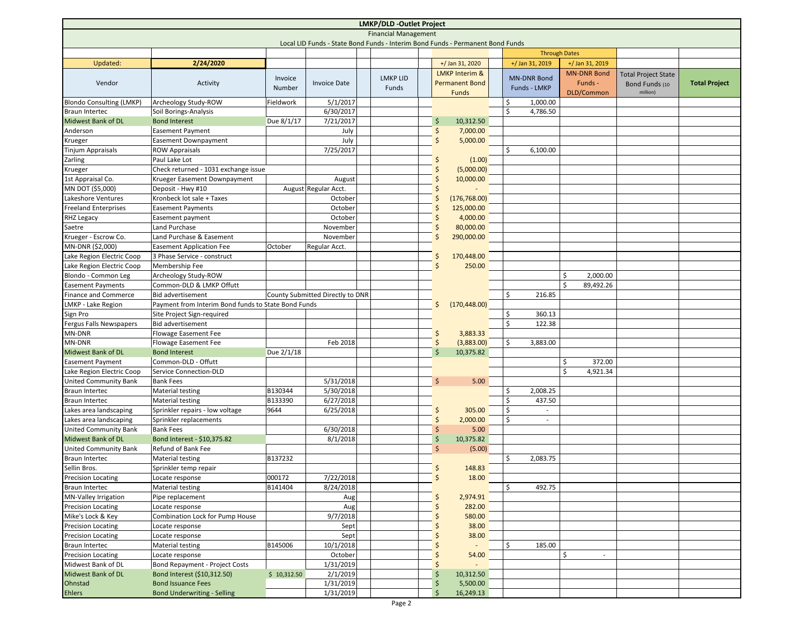| LMKP/DLD -Outlet Project                                                       |                                                        |             |                                  |  |                 |  |               |                           |  |                                |                      |                            |                      |
|--------------------------------------------------------------------------------|--------------------------------------------------------|-------------|----------------------------------|--|-----------------|--|---------------|---------------------------|--|--------------------------------|----------------------|----------------------------|----------------------|
| <b>Financial Management</b>                                                    |                                                        |             |                                  |  |                 |  |               |                           |  |                                |                      |                            |                      |
| Local LID Funds - State Bond Funds - Interim Bond Funds - Permanent Bond Funds |                                                        |             |                                  |  |                 |  |               |                           |  |                                |                      |                            |                      |
|                                                                                |                                                        |             |                                  |  |                 |  |               |                           |  |                                | <b>Through Dates</b> |                            |                      |
| Updated:                                                                       | 2/24/2020                                              |             |                                  |  |                 |  |               | +/ Jan 31, 2020           |  | +/ Jan 31, 2019                | +/ Jan 31, 2019      |                            |                      |
|                                                                                |                                                        | Invoice     |                                  |  | <b>LMKP LID</b> |  |               | <b>LMKP Interim &amp;</b> |  | <b>MN-DNR Bond</b>             | <b>MN-DNR Bond</b>   | <b>Total Project State</b> |                      |
| Vendor                                                                         | Activity                                               | Number      | <b>Invoice Date</b>              |  | Funds           |  |               | <b>Permanent Bond</b>     |  | Funds - LMKP                   | Funds -              | Bond Funds (10             | <b>Total Project</b> |
|                                                                                |                                                        |             |                                  |  |                 |  |               | <b>Funds</b>              |  |                                | DLD/Common           | million)                   |                      |
| <b>Blondo Consulting (LMKP)</b>                                                | Archeology Study-ROW                                   | Fieldwork   | 5/1/2017                         |  |                 |  |               |                           |  | Ś<br>1,000.00                  |                      |                            |                      |
| <b>Braun Intertec</b>                                                          | Soil Borings-Analysis                                  |             | 6/30/2017                        |  |                 |  |               |                           |  | Ś<br>4,786.50                  |                      |                            |                      |
| <b>Midwest Bank of DL</b>                                                      | <b>Bond Interest</b>                                   | Due 8/1/17  | 7/21/2017                        |  |                 |  | \$            | 10,312.50                 |  |                                |                      |                            |                      |
| Anderson                                                                       | Easement Payment                                       |             | July                             |  |                 |  | \$            | 7,000.00                  |  |                                |                      |                            |                      |
| Krueger                                                                        | <b>Easement Downpayment</b>                            |             | July                             |  |                 |  | \$            | 5,000.00                  |  |                                |                      |                            |                      |
| <b>Tinjum Appraisals</b>                                                       | <b>ROW Appraisals</b>                                  |             | 7/25/2017                        |  |                 |  |               |                           |  | Ś<br>6,100.00                  |                      |                            |                      |
| Zarling                                                                        | Paul Lake Lot                                          |             |                                  |  |                 |  | S             | (1.00)                    |  |                                |                      |                            |                      |
| Krueger                                                                        | Check returned - 1031 exchange issue                   |             |                                  |  |                 |  | S             | (5,000.00)                |  |                                |                      |                            |                      |
| 1st Appraisal Co.                                                              | Krueger Easement Downpayment                           |             | August                           |  |                 |  | Ś             | 10,000.00                 |  |                                |                      |                            |                      |
| MN DOT (\$5,000)                                                               | Deposit - Hwy #10                                      |             | August Regular Acct.             |  |                 |  |               |                           |  |                                |                      |                            |                      |
| Lakeshore Ventures                                                             | Kronbeck lot sale + Taxes                              |             | October                          |  |                 |  | \$            | (176, 768.00)             |  |                                |                      |                            |                      |
| <b>Freeland Enterprises</b>                                                    | <b>Easement Payments</b>                               |             | October                          |  |                 |  | S             | 125,000.00                |  |                                |                      |                            |                      |
| <b>RHZ Legacy</b>                                                              | Easement payment                                       |             | October                          |  |                 |  | S             | 4,000.00                  |  |                                |                      |                            |                      |
| Saetre                                                                         | Land Purchase                                          |             | November                         |  |                 |  | Ŝ             | 80,000.00                 |  |                                |                      |                            |                      |
| Krueger - Escrow Co.                                                           | Land Purchase & Easement                               |             | November                         |  |                 |  | Ŝ             | 290,000.00                |  |                                |                      |                            |                      |
| MN-DNR (\$2,000)<br>Lake Region Electric Coop                                  | <b>Easement Application Fee</b>                        | October     | Regular Acct.                    |  |                 |  |               |                           |  |                                |                      |                            |                      |
| Lake Region Electric Coop                                                      | 3 Phase Service - construct                            |             |                                  |  |                 |  | Ŝ<br>Ś        | 170,448.00                |  |                                |                      |                            |                      |
|                                                                                | Membership Fee                                         |             |                                  |  |                 |  |               | 250.00                    |  |                                | Ś                    |                            |                      |
| Blondo - Common Leg                                                            | Archeology Study-ROW                                   |             |                                  |  |                 |  |               |                           |  |                                | 2,000.00<br>Ś        |                            |                      |
| <b>Easement Payments</b>                                                       | Common-DLD & LMKP Offutt<br><b>Bid advertisement</b>   |             |                                  |  |                 |  |               |                           |  | Ś<br>216.85                    | 89,492.26            |                            |                      |
| <b>Finance and Commerce</b>                                                    |                                                        |             | County Submitted Directly to DNR |  |                 |  | Ŝ             |                           |  |                                |                      |                            |                      |
| LMKP - Lake Region                                                             | Payment from Interim Bond funds to State Bond Funds    |             |                                  |  |                 |  |               | (170, 448.00)             |  | Ś<br>360.13                    |                      |                            |                      |
| Sign Pro<br>Fergus Falls Newspapers                                            | Site Project Sign-required<br><b>Bid advertisement</b> |             |                                  |  |                 |  |               |                           |  | Ś<br>122.38                    |                      |                            |                      |
| MN-DNR                                                                         | Flowage Easement Fee                                   |             |                                  |  |                 |  | \$            | 3,883.33                  |  |                                |                      |                            |                      |
| MN-DNR                                                                         | Flowage Easement Fee                                   |             | Feb 2018                         |  |                 |  | $\zeta$       | (3,883.00)                |  | Ś<br>3,883.00                  |                      |                            |                      |
| <b>Midwest Bank of DL</b>                                                      | <b>Bond Interest</b>                                   | Due 2/1/18  |                                  |  |                 |  | Ś             | 10,375.82                 |  |                                |                      |                            |                      |
| <b>Easement Payment</b>                                                        | Common-DLD - Offutt                                    |             |                                  |  |                 |  |               |                           |  |                                | Ś<br>372.00          |                            |                      |
| Lake Region Electric Coop                                                      | Service Connection-DLD                                 |             |                                  |  |                 |  |               |                           |  |                                | Ś<br>4,921.34        |                            |                      |
| <b>United Community Bank</b>                                                   | <b>Bank Fees</b>                                       |             | 5/31/2018                        |  |                 |  | $\zeta$       | 5.00                      |  |                                |                      |                            |                      |
| <b>Braun Intertec</b>                                                          | <b>Material testing</b>                                | B130344     | 5/30/2018                        |  |                 |  |               |                           |  | \$<br>2,008.25                 |                      |                            |                      |
| <b>Braun Intertec</b>                                                          | Material testing                                       | B133390     | 6/27/2018                        |  |                 |  |               |                           |  | 437.50<br>\$                   |                      |                            |                      |
| Lakes area landscaping                                                         | Sprinkler repairs - low voltage                        | 9644        | 6/25/2018                        |  |                 |  | \$            | 305.00                    |  | \$<br>$\overline{\phantom{a}}$ |                      |                            |                      |
| Lakes area landscaping                                                         | Sprinkler replacements                                 |             |                                  |  |                 |  | \$            | 2,000.00                  |  | \$<br>$\overline{\phantom{a}}$ |                      |                            |                      |
| <b>United Community Bank</b>                                                   | <b>Bank Fees</b>                                       |             | 6/30/2018                        |  |                 |  | \$            | 5.00                      |  |                                |                      |                            |                      |
| Midwest Bank of DL                                                             | Bond Interest - \$10,375.82                            |             | 8/1/2018                         |  |                 |  | $\varsigma$   | 10,375.82                 |  |                                |                      |                            |                      |
| <b>United Community Bank</b>                                                   | Refund of Bank Fee                                     |             |                                  |  |                 |  | Ś             | (5.00)                    |  |                                |                      |                            |                      |
| <b>Braun Intertec</b>                                                          | <b>Material testing</b>                                | B137232     |                                  |  |                 |  |               |                           |  | \$<br>2,083.75                 |                      |                            |                      |
| Sellin Bros.                                                                   | Sprinkler temp repair                                  |             |                                  |  |                 |  | Ś             | 148.83                    |  |                                |                      |                            |                      |
| Precision Locating                                                             | Locate response                                        | 000172      | 7/22/2018                        |  |                 |  | $\frac{1}{2}$ | 18.00                     |  |                                |                      |                            |                      |
| Braun Intertec                                                                 | <b>Material testing</b>                                | B141404     | 8/24/2018                        |  |                 |  |               |                           |  | Ś<br>492.75                    |                      |                            |                      |
| <b>MN-Valley Irrigation</b>                                                    | Pipe replacement                                       |             | Aug                              |  |                 |  | \$            | 2,974.91                  |  |                                |                      |                            |                      |
| <b>Precision Locating</b>                                                      | Locate response                                        |             | Aug                              |  |                 |  | S             | 282.00                    |  |                                |                      |                            |                      |
| Mike's Lock & Key                                                              | Combination Lock for Pump House                        |             | 9/7/2018                         |  |                 |  |               | 580.00                    |  |                                |                      |                            |                      |
| <b>Precision Locating</b>                                                      | Locate response                                        |             | Sept                             |  |                 |  |               | 38.00                     |  |                                |                      |                            |                      |
| <b>Precision Locating</b>                                                      | Locate response                                        |             | Sept                             |  |                 |  |               | 38.00                     |  |                                |                      |                            |                      |
| <b>Braun Intertec</b>                                                          | <b>Material testing</b>                                | B145006     | 10/1/2018                        |  |                 |  |               |                           |  | \$<br>185.00                   |                      |                            |                      |
| <b>Precision Locating</b>                                                      | Locate response                                        |             | October                          |  |                 |  |               | 54.00                     |  |                                | \$<br>$\sim$         |                            |                      |
| Midwest Bank of DL                                                             | Bond Repayment - Project Costs                         |             | 1/31/2019                        |  |                 |  | \$            |                           |  |                                |                      |                            |                      |
| Midwest Bank of DL                                                             | Bond Interest (\$10,312.50)                            | \$10,312.50 | 2/1/2019                         |  |                 |  | $\zeta$       | 10,312.50                 |  |                                |                      |                            |                      |
| Ohnstad                                                                        | <b>Bond Issuance Fees</b>                              |             | 1/31/2019                        |  |                 |  | \$            | 5,500.00                  |  |                                |                      |                            |                      |
| <b>Ehlers</b>                                                                  | <b>Bond Underwriting - Selling</b>                     |             | 1/31/2019                        |  |                 |  | Ŝ             | 16,249.13                 |  |                                |                      |                            |                      |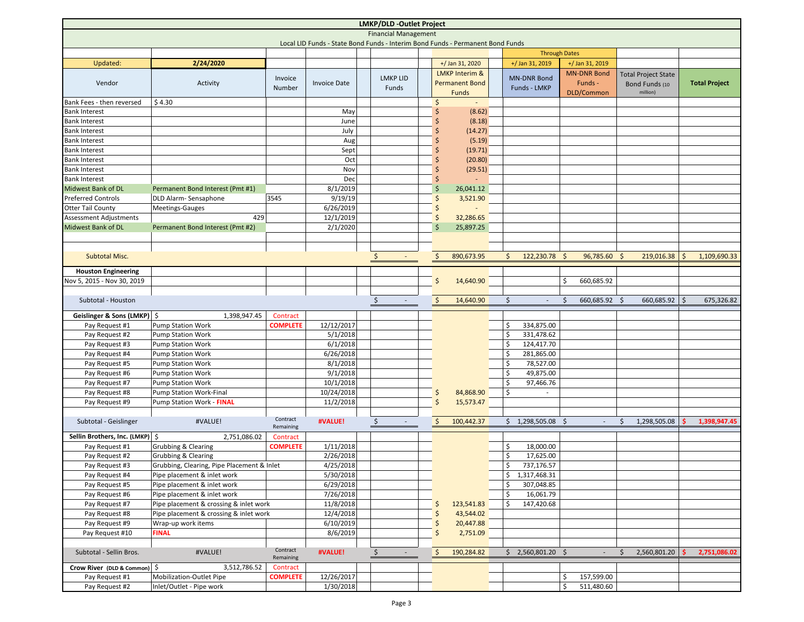| <b>LMKP/DLD -Outlet Project</b>                                                |                                              |                       |                         |                         |  |                     |                           |                    |                      |                           |                            |    |                      |
|--------------------------------------------------------------------------------|----------------------------------------------|-----------------------|-------------------------|-------------------------|--|---------------------|---------------------------|--------------------|----------------------|---------------------------|----------------------------|----|----------------------|
| <b>Financial Management</b>                                                    |                                              |                       |                         |                         |  |                     |                           |                    |                      |                           |                            |    |                      |
| Local LID Funds - State Bond Funds - Interim Bond Funds - Permanent Bond Funds |                                              |                       |                         |                         |  |                     |                           |                    |                      |                           |                            |    |                      |
|                                                                                |                                              |                       |                         |                         |  |                     |                           |                    | <b>Through Dates</b> |                           |                            |    |                      |
| Updated:                                                                       | 2/24/2020                                    |                       |                         |                         |  |                     | +/ Jan 31, 2020           | +/ Jan 31, 2019    |                      | +/ Jan 31, 2019           |                            |    |                      |
|                                                                                |                                              | Invoice               |                         | <b>LMKP LID</b>         |  |                     | <b>LMKP Interim &amp;</b> | <b>MN-DNR Bond</b> |                      | <b>MN-DNR Bond</b>        | <b>Total Project State</b> |    |                      |
| Vendor                                                                         | Activity                                     | Number                | <b>Invoice Date</b>     | Funds                   |  |                     | <b>Permanent Bond</b>     | Funds - LMKP       |                      | Funds -                   | Bond Funds (10             |    | <b>Total Project</b> |
|                                                                                |                                              |                       |                         |                         |  |                     | <b>Funds</b>              |                    |                      | DLD/Common                | million)                   |    |                      |
| Bank Fees - then reversed                                                      | \$4.30                                       |                       |                         |                         |  | Ŝ                   |                           |                    |                      |                           |                            |    |                      |
| <b>Bank Interest</b>                                                           |                                              |                       | May                     |                         |  |                     | (8.62)                    |                    |                      |                           |                            |    |                      |
| <b>Bank Interest</b>                                                           |                                              |                       | June                    |                         |  |                     | (8.18)                    |                    |                      |                           |                            |    |                      |
| <b>Bank Interest</b>                                                           |                                              |                       | July                    |                         |  |                     | (14.27)                   |                    |                      |                           |                            |    |                      |
| <b>Bank Interest</b>                                                           |                                              |                       | Aug                     |                         |  |                     | (5.19)                    |                    |                      |                           |                            |    |                      |
| <b>Bank Interest</b>                                                           |                                              |                       | Sept                    |                         |  |                     | (19.71)                   |                    |                      |                           |                            |    |                      |
| <b>Bank Interest</b>                                                           |                                              |                       | Oct                     |                         |  |                     | (20.80)                   |                    |                      |                           |                            |    |                      |
| <b>Bank Interest</b>                                                           |                                              |                       | Nov                     |                         |  |                     | (29.51)                   |                    |                      |                           |                            |    |                      |
| <b>Bank Interest</b>                                                           |                                              |                       | Dec                     |                         |  |                     |                           |                    |                      |                           |                            |    |                      |
| <b>Midwest Bank of DL</b>                                                      | Permanent Bond Interest (Pmt #1)             |                       | 8/1/2019                |                         |  | Ś                   | 26,041.12                 |                    |                      |                           |                            |    |                      |
| <b>Preferred Controls</b>                                                      | DLD Alarm-Sensaphone                         | 3545                  | 9/19/19                 |                         |  | Ś                   | 3,521.90                  |                    |                      |                           |                            |    |                      |
| <b>Otter Tail County</b>                                                       | Meetings-Gauges                              |                       | 6/26/2019               |                         |  |                     |                           |                    |                      |                           |                            |    |                      |
| <b>Assessment Adjustments</b>                                                  | 429                                          |                       | 12/1/2019               |                         |  | \$                  | 32,286.65                 |                    |                      |                           |                            |    |                      |
| <b>Midwest Bank of DL</b>                                                      | Permanent Bond Interest (Pmt #2)             |                       | 2/1/2020                |                         |  | $\zeta$             | 25,897.25                 |                    |                      |                           |                            |    |                      |
|                                                                                |                                              |                       |                         |                         |  |                     |                           |                    |                      |                           |                            |    |                      |
|                                                                                |                                              |                       |                         |                         |  |                     |                           |                    |                      |                           |                            |    |                      |
| Subtotal Misc.                                                                 |                                              |                       |                         | $\ddot{\phi}$           |  | $\frac{1}{2}$       | 890,673.95                | Ś.                 | 122,230.78 \$        | 96,785.60 \$              | 219,016.38                 | ۱Ś | 1,109,690.33         |
| <b>Houston Engineering</b>                                                     |                                              |                       |                         |                         |  |                     |                           |                    |                      |                           |                            |    |                      |
| Nov 5, 2015 - Nov 30, 2019                                                     |                                              |                       |                         |                         |  | \$                  | 14,640.90                 |                    |                      | \$<br>660,685.92          |                            |    |                      |
|                                                                                |                                              |                       |                         |                         |  |                     |                           |                    |                      |                           |                            |    |                      |
| Subtotal - Houston                                                             |                                              |                       |                         | $\ddot{\phi}$           |  | $\zeta$             | 14,640.90                 | Ś.                 | $\sim$               | 660,685.92<br>$\varsigma$ | 660,685.92<br>-Ś           | S. | 675,326.82           |
|                                                                                |                                              |                       |                         |                         |  |                     |                           |                    |                      |                           |                            |    |                      |
| Geislinger & Sons (LMKP)   \$                                                  | 1,398,947.45                                 | Contract              |                         |                         |  |                     |                           |                    |                      |                           |                            |    |                      |
| Pay Request #1                                                                 | <b>Pump Station Work</b>                     | <b>COMPLETE</b>       | 12/12/2017              |                         |  |                     |                           | 334,875.00<br>\$   |                      |                           |                            |    |                      |
| Pay Request #2                                                                 | <b>Pump Station Work</b>                     |                       | 5/1/2018                |                         |  |                     |                           | \$<br>331,478.62   |                      |                           |                            |    |                      |
| Pay Request #3                                                                 | <b>Pump Station Work</b>                     |                       | 6/1/2018                |                         |  |                     |                           | \$<br>124,417.70   |                      |                           |                            |    |                      |
| Pay Request #4                                                                 | Pump Station Work                            |                       | 6/26/2018<br>8/1/2018   |                         |  |                     |                           | \$<br>281,865.00   | 78,527.00            |                           |                            |    |                      |
| Pay Request #5                                                                 | Pump Station Work                            |                       |                         |                         |  |                     |                           | \$                 |                      |                           |                            |    |                      |
| Pay Request #6                                                                 | <b>Pump Station Work</b>                     |                       | 9/1/2018                |                         |  |                     |                           | \$<br>\$           | 49,875.00            |                           |                            |    |                      |
| Pay Request #7<br>Pay Request #8                                               | Pump Station Work<br>Pump Station Work-Final |                       | 10/1/2018<br>10/24/2018 |                         |  | \$                  | 84,868.90                 | \$                 | 97,466.76            |                           |                            |    |                      |
|                                                                                | Pump Station Work - FINAL                    |                       | 11/2/2018               |                         |  | \$                  |                           |                    |                      |                           |                            |    |                      |
| Pay Request #9                                                                 |                                              |                       |                         |                         |  |                     | 15,573.47                 |                    |                      |                           |                            |    |                      |
| Subtotal - Geislinger                                                          | #VALUE!                                      | Contract              | #VALUE!                 | $\ddot{\phi}$<br>$\sim$ |  | $\ddot{\mathsf{S}}$ | 100,442.37                | \$1,298,505.08\$   |                      | $\sim$                    | 1,298,505.08<br>Ŝ.         |    | 1,398,947.45         |
|                                                                                |                                              | Remaining             |                         |                         |  |                     |                           |                    |                      |                           |                            |    |                      |
| Sellin Brothers, Inc. (LMKP)   \$                                              | 2,751,086.02                                 | Contract              |                         |                         |  |                     |                           |                    |                      |                           |                            |    |                      |
| Pay Request #1                                                                 | Grubbing & Clearing                          | <b>COMPLETE</b>       | 1/11/2018               |                         |  |                     |                           | \$                 | 18,000.00            |                           |                            |    |                      |
| Pay Request #2                                                                 | Grubbing & Clearing                          |                       | 2/26/2018               |                         |  |                     |                           | \$                 | 17,625.00            |                           |                            |    |                      |
| Pay Request #3                                                                 | Grubbing, Clearing, Pipe Placement & Inlet   |                       | 4/25/2018               |                         |  |                     |                           | \$<br>737,176.57   |                      |                           |                            |    |                      |
| Pay Request #4                                                                 | Pipe placement & inlet work                  |                       | 5/30/2018               |                         |  |                     |                           | \$1,317,468.31     |                      |                           |                            |    |                      |
| Pay Request #5                                                                 | Pipe placement & inlet work                  |                       | 6/29/2018               |                         |  |                     |                           | \$<br>307,048.85   |                      |                           |                            |    |                      |
| Pay Request #6                                                                 | Pipe placement & inlet work                  |                       | 7/26/2018               |                         |  |                     |                           | \$                 | 16,061.79            |                           |                            |    |                      |
| Pay Request #7                                                                 | Pipe placement & crossing & inlet work       |                       | 11/8/2018               |                         |  | Ś                   | 123,541.83                | \$<br>147,420.68   |                      |                           |                            |    |                      |
| Pay Request #8                                                                 | Pipe placement & crossing & inlet work       |                       | 12/4/2018               |                         |  | Ś                   | 43,544.02                 |                    |                      |                           |                            |    |                      |
| Pay Request #9                                                                 | Wrap-up work items                           |                       | 6/10/2019               |                         |  |                     | 20,447.88                 |                    |                      |                           |                            |    |                      |
| Pay Request #10                                                                | <b>FINAL</b>                                 |                       | 8/6/2019                |                         |  | \$                  | 2,751.09                  |                    |                      |                           |                            |    |                      |
|                                                                                |                                              |                       |                         |                         |  |                     |                           |                    |                      |                           |                            |    |                      |
| Subtotal - Sellin Bros.                                                        | #VALUE!                                      | Contract<br>Remaining | #VALUE!                 | $\ddot{\varsigma}$      |  | $\ddot{\phi}$       | 190,284.82                | \$2,560,801.20\$   |                      |                           | 2,560,801.20               |    | 2,751,086.02         |
| Crow River (DLD & Common) \$                                                   | 3,512,786.52                                 | Contract              |                         |                         |  |                     |                           |                    |                      |                           |                            |    |                      |
| Pay Request #1                                                                 | Mobilization-Outlet Pipe                     | <b>COMPLETE</b>       | 12/26/2017              |                         |  |                     |                           |                    |                      | 157,599.00<br>\$          |                            |    |                      |
| Pay Request #2                                                                 | Inlet/Outlet - Pipe work                     |                       | 1/30/2018               |                         |  |                     |                           |                    |                      | Ŝ.<br>511,480.60          |                            |    |                      |
|                                                                                |                                              |                       |                         |                         |  |                     |                           |                    |                      |                           |                            |    |                      |